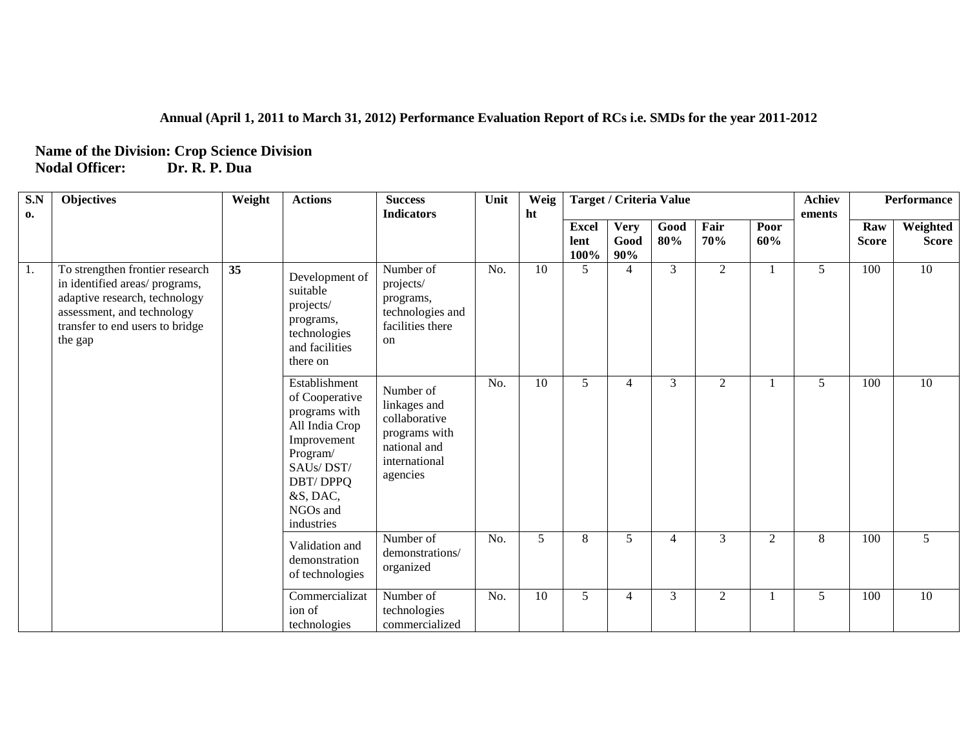## **Annual (April 1, 2011 to March 31, 2012) Performance Evaluation Report of RCs i.e. SMDs for the year 2011-2012**

## **Name of the Division: Crop Science Division Nodal Officer: Dr. R. P. Dua**

| $\mathbf{S}.\mathbf{N}$ | <b>Objectives</b>                                                                                                                                                             | Weight | <b>Actions</b>                                                                                                                                               | <b>Success</b>                                                                                           | Unit | Weig |                              | <b>Target / Criteria Value</b> |                |                |                | <b>Achiev</b> |                     | <b>Performance</b>       |
|-------------------------|-------------------------------------------------------------------------------------------------------------------------------------------------------------------------------|--------|--------------------------------------------------------------------------------------------------------------------------------------------------------------|----------------------------------------------------------------------------------------------------------|------|------|------------------------------|--------------------------------|----------------|----------------|----------------|---------------|---------------------|--------------------------|
| 0.                      |                                                                                                                                                                               |        |                                                                                                                                                              | <b>Indicators</b>                                                                                        |      | ht   | <b>Excel</b><br>lent<br>100% | <b>Very</b><br>Good<br>90%     | Good<br>80%    | Fair<br>70%    | Poor<br>60%    | ements        | Raw<br><b>Score</b> | Weighted<br><b>Score</b> |
| 1.                      | To strengthen frontier research<br>in identified areas/programs,<br>adaptive research, technology<br>assessment, and technology<br>transfer to end users to bridge<br>the gap | 35     | Development of<br>suitable<br>projects/<br>programs,<br>technologies<br>and facilities<br>there on                                                           | Number of<br>projects/<br>programs,<br>technologies and<br>facilities there<br>on                        | No.  | 10   | 5                            | $\overline{4}$                 | $\overline{3}$ | $\overline{2}$ |                | 5             | 100                 | 10                       |
|                         |                                                                                                                                                                               |        | Establishment<br>of Cooperative<br>programs with<br>All India Crop<br>Improvement<br>Program/<br>SAUs/DST/<br>DBT/DPPQ<br>&S, DAC,<br>NGOs and<br>industries | Number of<br>linkages and<br>collaborative<br>programs with<br>national and<br>international<br>agencies | No.  | 10   | 5                            | 4                              | 3              | 2              |                | 5             | 100                 | 10                       |
|                         |                                                                                                                                                                               |        | Validation and<br>demonstration<br>of technologies                                                                                                           | Number of<br>demonstrations/<br>organized                                                                | No.  | 5    | 8                            | 5                              | 4              | $\overline{3}$ | $\overline{2}$ | 8             | 100                 | 5                        |
|                         |                                                                                                                                                                               |        | Commercializat<br>ion of<br>technologies                                                                                                                     | Number of<br>technologies<br>commercialized                                                              | No.  | 10   | 5                            | 4                              | 3              | $\overline{2}$ |                | 5             | 100                 | 10                       |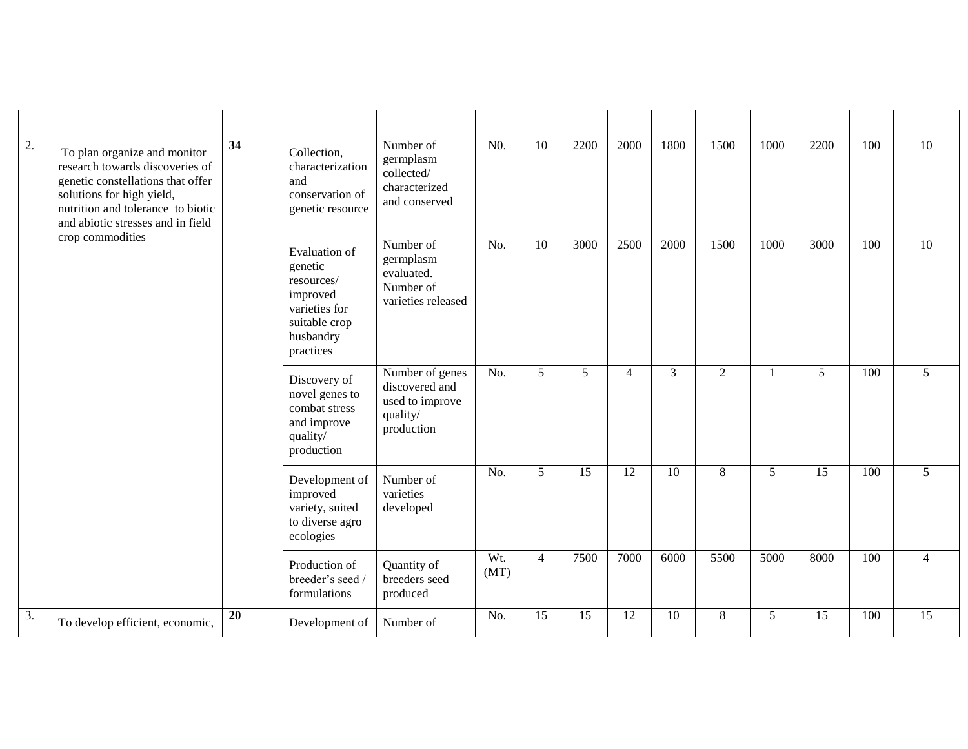| $\overline{2}$ . | 34<br>To plan organize and monitor<br>research towards discoveries of<br>genetic constellations that offer<br>solutions for high yield,<br>nutrition and tolerance to biotic<br>and abiotic stresses and in field<br>crop commodities |    | Collection,<br>characterization<br>and<br>conservation of<br>genetic resource                                  | Number of<br>germplasm<br>collected/<br>characterized<br>and conserved         | N <sub>0</sub> | 10             | 2200        | 2000           | 1800           | 1500  | 1000            | 2200           | 100 | $\overline{10}$ |
|------------------|---------------------------------------------------------------------------------------------------------------------------------------------------------------------------------------------------------------------------------------|----|----------------------------------------------------------------------------------------------------------------|--------------------------------------------------------------------------------|----------------|----------------|-------------|----------------|----------------|-------|-----------------|----------------|-----|-----------------|
|                  |                                                                                                                                                                                                                                       |    | Evaluation of<br>genetic<br>resources/<br>improved<br>varieties for<br>suitable crop<br>husbandry<br>practices | Number of<br>germplasm<br>evaluated.<br>Number of<br>varieties released        | No.            | 10             | 3000        | 2500           | 2000           | 1500  | 1000            | 3000           | 100 | $\overline{10}$ |
|                  |                                                                                                                                                                                                                                       |    | Discovery of<br>novel genes to<br>combat stress<br>and improve<br>quality/<br>production                       | Number of genes<br>discovered and<br>used to improve<br>quality/<br>production | No.            | 5              | $5^{\circ}$ | $\overline{4}$ | $\overline{3}$ | 2     | 1               | 5 <sup>5</sup> | 100 | 5 <sup>5</sup>  |
|                  |                                                                                                                                                                                                                                       |    | Development of<br>improved<br>variety, suited<br>to diverse agro<br>ecologies                                  | Number of<br>varieties<br>developed                                            | No.            | 5              | 15          | 12             | 10             | $8\,$ | 5 <sup>5</sup>  | 15             | 100 | $5\overline{)}$ |
|                  |                                                                                                                                                                                                                                       |    | Production of<br>breeder's seed /<br>formulations                                                              | Quantity of<br>breeders seed<br>produced                                       | Wt.<br>(MT)    | $\overline{4}$ | 7500        | 7000           | 6000           | 5500  | 5000            | 8000           | 100 | $\overline{4}$  |
| $\overline{3}$ . | To develop efficient, economic,                                                                                                                                                                                                       | 20 | Development of                                                                                                 | Number of                                                                      | No.            | 15             | 15          | 12             | 10             | 8     | $5\overline{)}$ | 15             | 100 | $\overline{15}$ |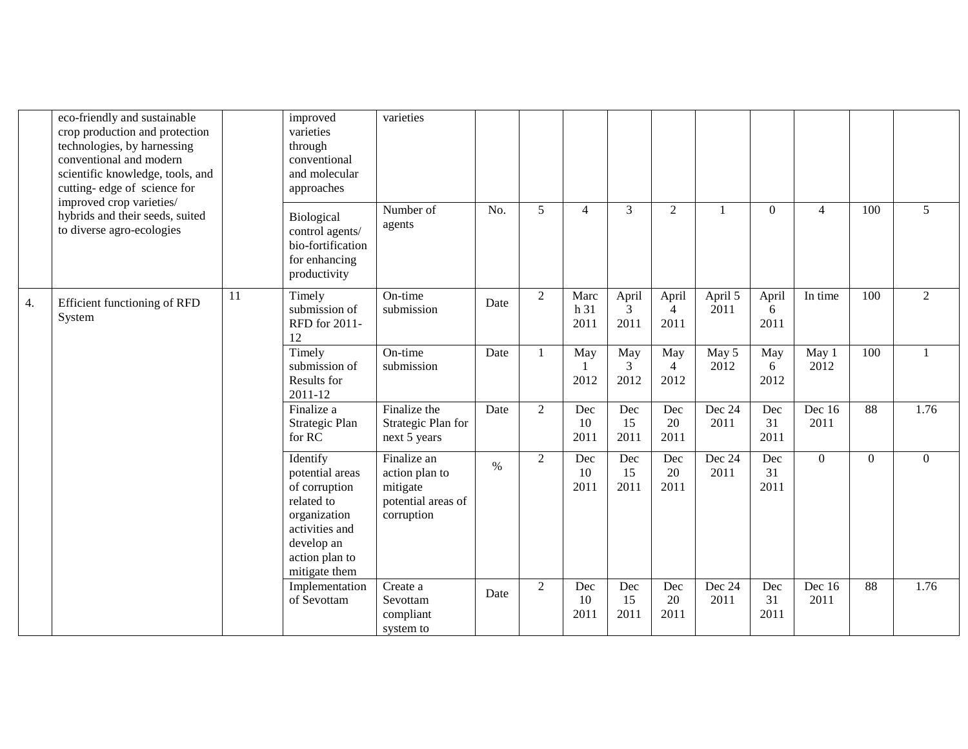|    | eco-friendly and sustainable<br>crop production and protection<br>technologies, by harnessing<br>conventional and modern<br>scientific knowledge, tools, and<br>cutting-edge of science for |                                                                                                                                                                                                                                    | improved<br>varieties<br>through<br>conventional<br>and molecular<br>approaches     | varieties                                          |      |                   |                      |                    |                                 |                   |                    |                |                |                |
|----|---------------------------------------------------------------------------------------------------------------------------------------------------------------------------------------------|------------------------------------------------------------------------------------------------------------------------------------------------------------------------------------------------------------------------------------|-------------------------------------------------------------------------------------|----------------------------------------------------|------|-------------------|----------------------|--------------------|---------------------------------|-------------------|--------------------|----------------|----------------|----------------|
|    | improved crop varieties/<br>hybrids and their seeds, suited<br>to diverse agro-ecologies                                                                                                    |                                                                                                                                                                                                                                    | Biological<br>control agents/<br>bio-fortification<br>for enhancing<br>productivity | Number of<br>agents                                | No.  | 5                 | $\overline{4}$       | $\mathfrak{Z}$     | $\overline{2}$                  |                   | $\theta$           | $\overline{4}$ | 100            | 5              |
| 4. | Efficient functioning of RFD<br>System                                                                                                                                                      | 11                                                                                                                                                                                                                                 | Timely<br>submission of<br>RFD for 2011-<br>12                                      | On-time<br>submission                              | Date | 2                 | Marc<br>h 31<br>2011 | April<br>3<br>2011 | April<br>$\overline{4}$<br>2011 | April 5<br>2011   | April<br>6<br>2011 | In time        | 100            | $\overline{2}$ |
|    |                                                                                                                                                                                             | submission of<br>Results for<br>2011-12<br>Finalize a<br>Strategic Plan<br>for RC<br>Identify<br>potential areas<br>of corruption<br>related to<br>organization<br>activities and<br>develop an<br>action plan to<br>mitigate them | Timely                                                                              | On-time<br>submission                              | Date | -1                | May<br>2012          | May<br>3<br>2012   | May<br>$\overline{4}$<br>2012   | May 5<br>2012     | May<br>6<br>2012   | May 1<br>2012  | 100            |                |
|    |                                                                                                                                                                                             |                                                                                                                                                                                                                                    |                                                                                     | Finalize the<br>Strategic Plan for<br>next 5 years | Date | 2                 | Dec<br>10<br>2011    | Dec<br>15<br>2011  | Dec<br>20<br>2011               | Dec 24<br>2011    | Dec<br>31<br>2011  | Dec 16<br>2011 | 88             | 1.76           |
|    |                                                                                                                                                                                             |                                                                                                                                                                                                                                    | Finalize an<br>action plan to<br>mitigate<br>potential areas of<br>corruption       | $\%$                                               | 2    | Dec<br>10<br>2011 | Dec<br>15<br>2011    | Dec<br>20<br>2011  | Dec 24<br>2011                  | Dec<br>31<br>2011 | $\overline{0}$     | $\mathbf{0}$   | $\overline{0}$ |                |
|    |                                                                                                                                                                                             |                                                                                                                                                                                                                                    | Implementation<br>of Sevottam                                                       | Create a<br>Sevottam<br>compliant<br>system to     | Date | 2                 | Dec<br>10<br>2011    | Dec<br>15<br>2011  | Dec<br>20<br>2011               | Dec 24<br>2011    | Dec<br>31<br>2011  | Dec 16<br>2011 | 88             | 1.76           |